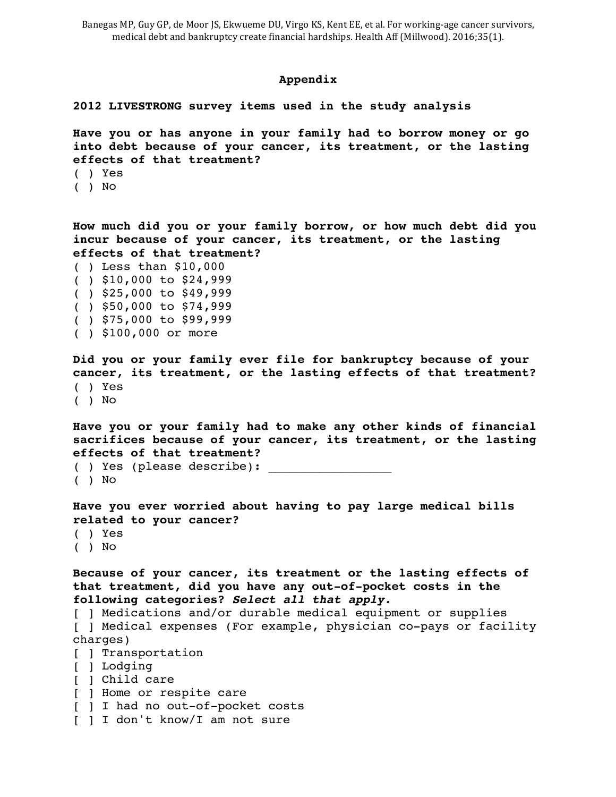## **Appendix**

## **2012 LIVESTRONG survey items used in the study analysis**

**Have you or has anyone in your family had to borrow money or go into debt because of your cancer, its treatment, or the lasting effects of that treatment?** 

- ( ) Yes
- ( ) No

**How much did you or your family borrow, or how much debt did you incur because of your cancer, its treatment, or the lasting effects of that treatment?** 

( ) Less than \$10,000 ( ) \$10,000 to \$24,999 ( ) \$25,000 to \$49,999 ( ) \$50,000 to \$74,999 ( ) \$75,000 to \$99,999 ( ) \$100,000 or more

**Did you or your family ever file for bankruptcy because of your cancer, its treatment, or the lasting effects of that treatment?**  ( ) Yes ( ) No

**Have you or your family had to make any other kinds of financial sacrifices because of your cancer, its treatment, or the lasting effects of that treatment?** 

( ) Yes (please describe): ( ) No

**Have you ever worried about having to pay large medical bills related to your cancer?**  ( ) Yes

( ) No

**Because of your cancer, its treatment or the lasting effects of that treatment, did you have any out-of-pocket costs in the following categories?** *Select all that apply.* 

[ ] Medications and/or durable medical equipment or supplies [ ] Medical expenses (For example, physician co-pays or facility charges)

- [ ] Transportation
- [ ] Lodging
- [ ] Child care
- [ ] Home or respite care
- [ ] I had no out-of-pocket costs
- [ ] I don't know/I am not sure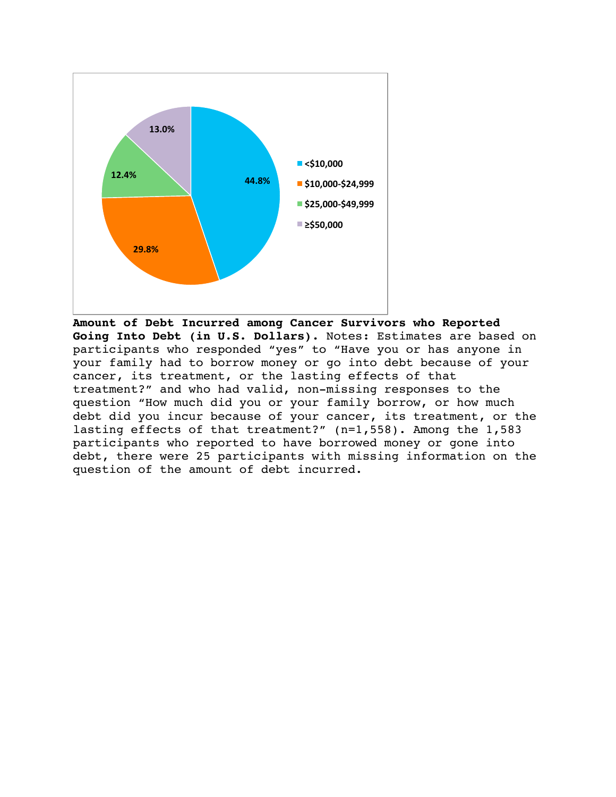

**Amount of Debt Incurred among Cancer Survivors who Reported Going Into Debt (in U.S. Dollars).** Notes: Estimates are based on participants who responded "yes" to "Have you or has anyone in your family had to borrow money or go into debt because of your cancer, its treatment, or the lasting effects of that treatment?" and who had valid, non-missing responses to the question "How much did you or your family borrow, or how much debt did you incur because of your cancer, its treatment, or the lasting effects of that treatment?" (n=1,558). Among the 1,583 participants who reported to have borrowed money or gone into debt, there were 25 participants with missing information on the question of the amount of debt incurred.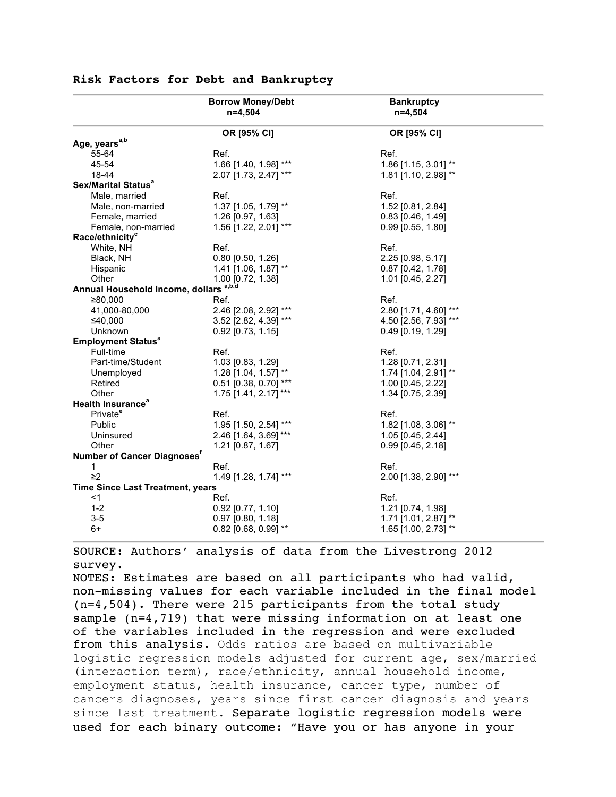|                                         | <b>Borrow Money/Debt</b><br>$n=4,504$ | <b>Bankruptcy</b><br>$n=4,504$ |  |
|-----------------------------------------|---------------------------------------|--------------------------------|--|
|                                         | OR [95% CI]                           | OR [95% CI]                    |  |
| Age, years <sup>a,b</sup>               |                                       |                                |  |
| 55-64                                   | Ref.                                  | Ref.                           |  |
| 45-54                                   | 1.66 [1.40, 1.98] ***                 | 1.86 [1.15, 3.01] **           |  |
| 18-44                                   | 2.07 [1.73, 2.47] ***                 | 1.81 [1.10, 2.98] **           |  |
| Sex/Marital Status <sup>a</sup>         |                                       |                                |  |
| Male, married                           | Ref.                                  | Ref.                           |  |
| Male, non-married                       | 1.37 [1.05, 1.79] **                  | 1.52 [0.81, 2.84]              |  |
| Female, married                         | 1.26 [0.97, 1.63]                     | $0.83$ [0.46, 1.49]            |  |
| Female, non-married                     | 1.56 [1.22, 2.01] ***                 | $0.99$ [0.55, 1.80]            |  |
| Race/ethnicity <sup>c</sup>             |                                       |                                |  |
| White, NH                               | Ref.                                  | Ref.                           |  |
| Black, NH                               | $0.80$ [0.50, 1.26]                   | 2.25 [0.98, 5.17]              |  |
| Hispanic                                | 1.41 [1.06, 1.87] **                  | $0.87$ [0.42, 1.78]            |  |
| Other                                   | 1.00 [0.72, 1.38]                     | 1.01 [0.45, 2.27]              |  |
| Annual Household Income, dollars a,b,d  |                                       |                                |  |
| ≥80,000                                 | Ref.                                  | Ref.                           |  |
| 41,000-80,000                           | 2.46 [2.08, 2.92] ***                 | 2.80 [1.71, 4.60] ***          |  |
| ≤40,000                                 | 3.52 [2.82, 4.39] ***                 | 4.50 [2.56, 7.93] ***          |  |
| Unknown                                 | $0.92$ [0.73, 1.15]                   | $0.49$ [0.19, 1.29]            |  |
| <b>Employment Status<sup>a</sup></b>    |                                       |                                |  |
| Full-time                               | Ref.                                  | Ref.                           |  |
| Part-time/Student                       | 1.03 [0.83, 1.29]                     | 1.28 [0.71, 2.31]              |  |
| Unemployed                              | 1.28 [1.04, 1.57] **                  | 1.74 [1.04, 2.91] **           |  |
| Retired                                 | 0.51 [0.38, 0.70] ***                 | 1.00 [0.45, 2.22]              |  |
| Other                                   | 1.75 [1.41, 2.17]***                  | 1.34 [0.75, 2.39]              |  |
| <b>Health Insurance<sup>a</sup></b>     |                                       |                                |  |
| Private <sup>e</sup>                    | Ref.                                  | Ref.                           |  |
| Public                                  | 1.95 [1.50, 2.54] ***                 | 1.82 [1.08, 3.06] **           |  |
| Uninsured                               | 2.46 [1.64, 3.69] ***                 | 1.05 [0.45, 2.44]              |  |
| Other                                   | $1.21$ [0.87, 1.67]                   | $0.99$ [0.45, 2.18]            |  |
| Number of Cancer Diagnoses'             |                                       |                                |  |
| 1                                       | Ref.                                  | Ref.                           |  |
| $\geq$ 2                                | 1.49 [1.28, 1.74] ***                 | 2.00 [1.38, 2.90] ***          |  |
| <b>Time Since Last Treatment, years</b> |                                       |                                |  |
| <1                                      | Ref.                                  | Ref.                           |  |
| $1 - 2$                                 | $0.92$ [0.77, 1.10]                   | 1.21 [0.74, 1.98]              |  |
| $3 - 5$                                 | $0.97$ [0.80, 1.18]                   | 1.71 [1.01, 2.87] **           |  |
| 6+                                      | $0.82$ [0.68, 0.99] **                | 1.65 [1.00, 2.73] **           |  |

## **Risk Factors for Debt and Bankruptcy**

SOURCE: Authors' analysis of data from the Livestrong 2012 survey.

NOTES: Estimates are based on all participants who had valid, non-missing values for each variable included in the final model (n=4,504). There were 215 participants from the total study sample (n=4,719) that were missing information on at least one of the variables included in the regression and were excluded from this analysis. Odds ratios are based on multivariable logistic regression models adjusted for current age, sex/married (interaction term), race/ethnicity, annual household income, employment status, health insurance, cancer type, number of cancers diagnoses, years since first cancer diagnosis and years since last treatment. Separate logistic regression models were used for each binary outcome: "Have you or has anyone in your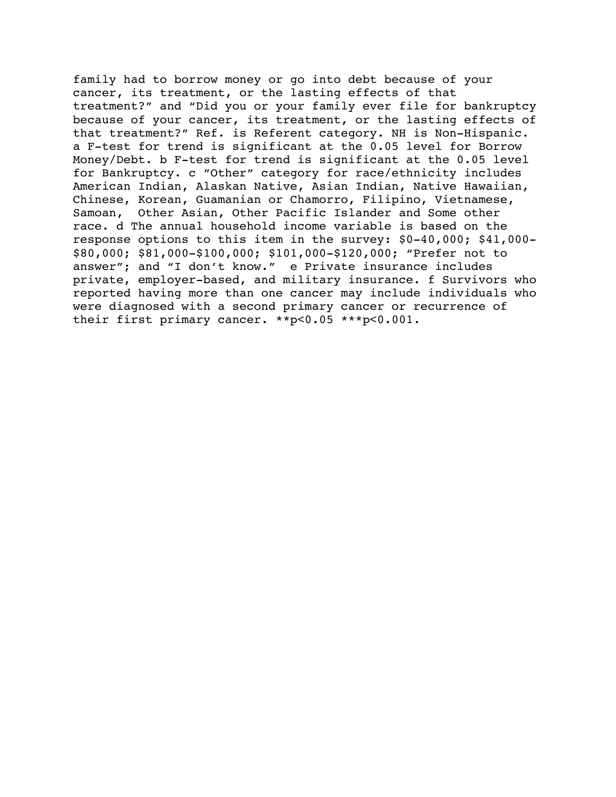family had to borrow money or go into debt because of your cancer, its treatment, or the lasting effects of that treatment?" and "Did you or your family ever file for bankruptcy because of your cancer, its treatment, or the lasting effects of that treatment?" Ref. is Referent category. NH is Non-Hispanic. a F-test for trend is significant at the 0.05 level for Borrow Money/Debt. b F-test for trend is significant at the 0.05 level for Bankruptcy. c "Other" category for race/ethnicity includes American Indian, Alaskan Native, Asian Indian, Native Hawaiian, Chinese, Korean, Guamanian or Chamorro, Filipino, Vietnamese, Samoan, Other Asian, Other Pacific Islander and Some other race. d The annual household income variable is based on the response options to this item in the survey: \$0-40,000; \$41,000- \$80,000; \$81,000-\$100,000; \$101,000-\$120,000; "Prefer not to answer"; and "I don't know." e Private insurance includes private, employer-based, and military insurance. f Survivors who reported having more than one cancer may include individuals who were diagnosed with a second primary cancer or recurrence of their first primary cancer. \*\*p<0.05 \*\*\*p<0.001.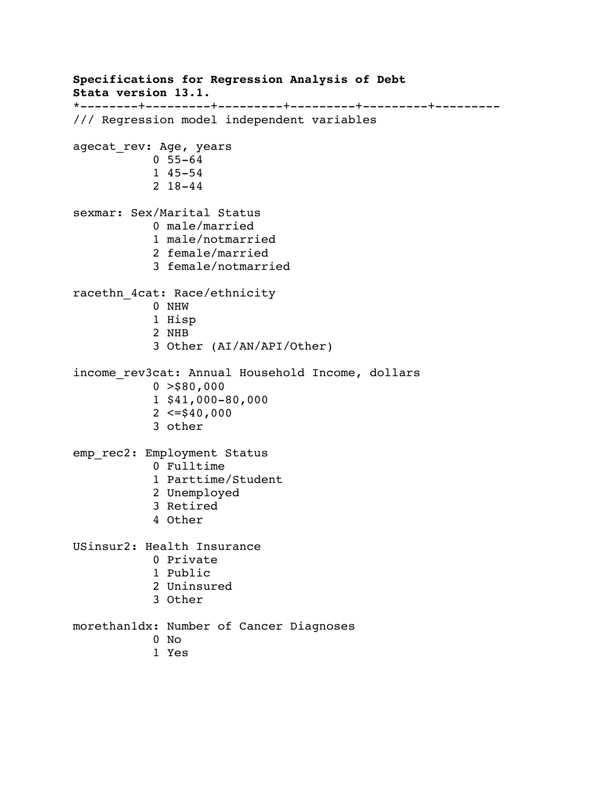```
Specifications for Regression Analysis of Debt
Stata version 13.1.
*--------+---------+---------+---------+---------+---------
/// Regression model independent variables 
agecat_rev: Age, years
            0 55-64
            1 45-54
            2 18-44
sexmar: Sex/Marital Status
            0 male/married
            1 male/notmarried
            2 female/married
            3 female/notmarried
racethn_4cat: Race/ethnicity
            0 NHW
            1 Hisp
            2 NHB
            3 Other (AI/AN/API/Other)
income rev3cat: Annual Household Income, dollars
           0 > $80,000 1 $41,000-80,000
           2 \leq 540,000 3 other
emp_rec2: Employment Status
            0 Fulltime
            1 Parttime/Student
            2 Unemployed
            3 Retired
            4 Other
USinsur2: Health Insurance
            0 Private
            1 Public
            2 Uninsured
            3 Other
morethan1dx: Number of Cancer Diagnoses
            0 No
            1 Yes
```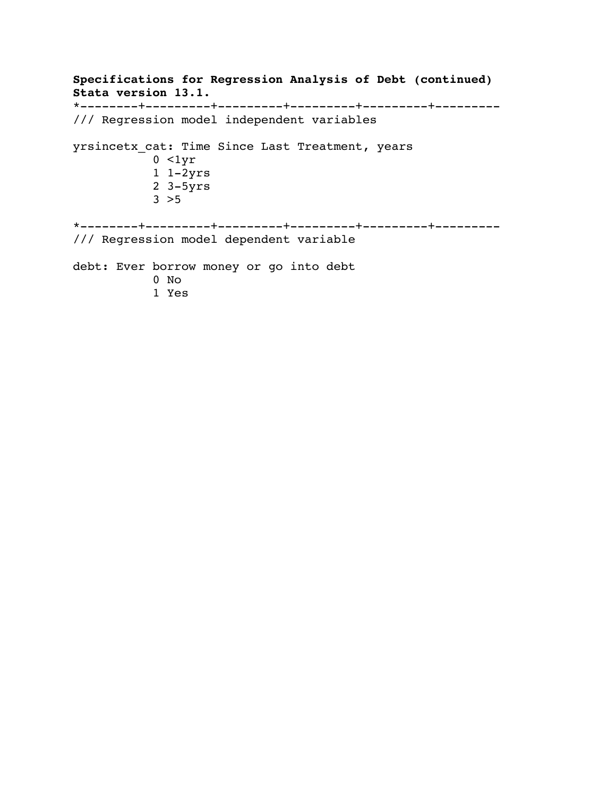**Specifications for Regression Analysis of Debt (continued) Stata version 13.1.** \*--------+---------+---------+---------+---------+--------- /// Regression model independent variables yrsincetx\_cat: Time Since Last Treatment, years 0 <1yr 1 1-2yrs 2 3-5yrs  $3 > 5$ \*--------+---------+---------+---------+---------+--------- /// Regression model dependent variable debt: Ever borrow money or go into debt 0 No 1 Yes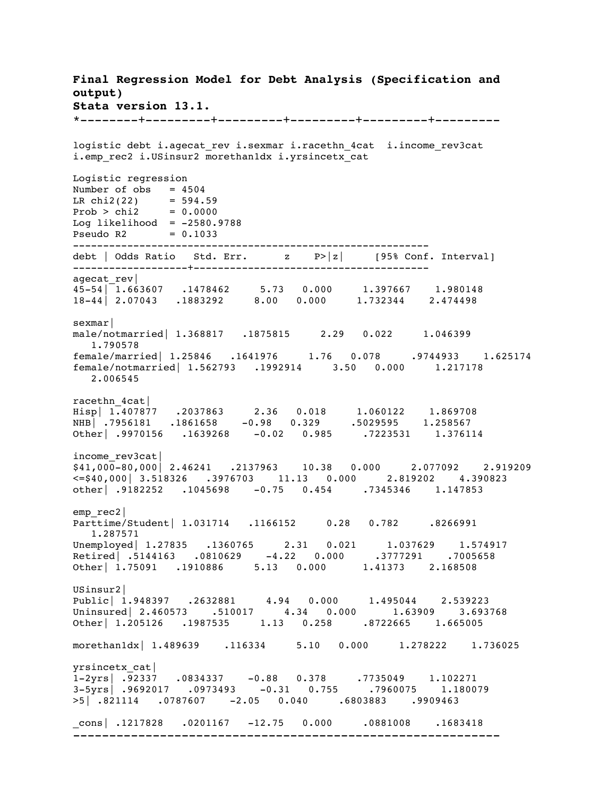**Final Regression Model for Debt Analysis (Specification and output) Stata version 13.1.** \*--------+---------+---------+---------+---------+-------- logistic debt i.agecat rev i.sexmar i.racethn 4cat i.income rev3cat i.emp rec2 i.USinsur2 morethan1dx i.yrsincetx cat Logistic regression Number of  $obs = 4504$ LR  $chi2(22)$  = 594.59  $Prob > chi2 = 0.0000$ Log likelihood =  $-2580.9788$ Pseudo R2 = 0.1033 ---------------------------------------------------------- debt | Odds Ratio Std. Err. z P>|z| [95% Conf. Interval] -------------------+-------------------------------------- agecat\_rev| 45-54| 1.663607 .1478462 5.73 0.000 1.397667 1.980148 18-44| 2.07043 .1883292 8.00 0.000 1.732344 2.474498 sexmar| male/notmarried| 1.368817 .1875815 2.29 0.022 1.046399 1.790578 female/married| 1.25846 .1641976 1.76 0.078 .9744933 1.625174 female/notmarried| 1.562793 .1992914 3.50 0.000 1.217178 2.006545 racethn\_4cat| Hisp| 1.407877 .2037863 2.36 0.018 1.060122 1.869708 NHB| .7956181 .1861658 -0.98 0.329 .5029595 1.258567 Other| .9970156 .1639268 -0.02 0.985 .7223531 1.376114 income\_rev3cat| \$41,000-80,000| 2.46241 .2137963 10.38 0.000 2.077092 2.919209 <=\$40,000| 3.518326 .3976703 11.13 0.000 2.819202 4.390823 other| .9182252 .1045698 -0.75 0.454 .7345346 1.147853 emp\_rec2| Parttime/Student | 1.031714 .1166152 0.28 0.782 .8266991 1.287571 Unemployed| 1.27835 .1360765 2.31 0.021 1.037629 1.574917 Retired| .5144163 .0810629 -4.22 0.000 .3777291 .7005658 Other| 1.75091 .1910886 5.13 0.000 1.41373 2.168508 USinsur2| Public| 1.948397 .2632881 4.94 0.000 1.495044 2.539223 Uninsured| 2.460573 .510017 4.34 0.000 1.63909 3.693768 Other| 1.205126 .1987535 1.13 0.258 .8722665 1.665005 morethan1dx| 1.489639 .116334 5.10 0.000 1.278222 1.736025 yrsincetx\_cat| 1-2yrs| .92337 .0834337 -0.88 0.378 .7735049 1.102271 3-5yrs| .9692017 .0973493 -0.31 0.755 .7960075 1.180079 >5| .821114 .0787607 -2.05 0.040 .6803883 .9909463 \_cons| .1217828 .0201167 -12.75 0.000 .0881008 .1683418 -----------------------------------------------------------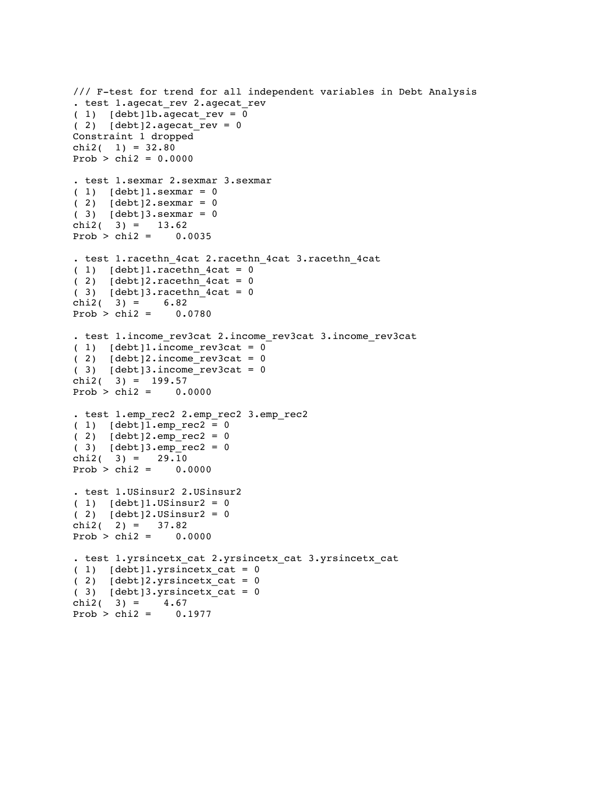```
/// F-test for trend for all independent variables in Debt Analysis
. test 1.agecat rev 2.agecat rev
(1) [debt]1b.agecat rev = 0
(2) [debt]2.agecat_rev = 0
Constraint 1 dropped
chi2( 1) = 32.80Prob > chi2 = 0.0000. test 1.sexmar 2.sexmar 3.sexmar
(1) [debt]1.sexmar = 0
(2) [debt]2.sexmar = 0
( 3) [debt]3.sexmar = 0
chi2(3) = 13.62Prob > chi2 = 0.0035. test 1.racethn_4cat 2.racethn_4cat 3.racethn_4cat
(1) [debt]1.racethn_4cat = 0
(2) [debt]2.racethn_4cat = 0
( 3) [debt]3.readchn_4cat = 0chi2( 3) = 6.82Prob > chi2 = 0.0780. test 1.income_rev3cat 2.income_rev3cat 3.income_rev3cat
(1) [debt]1.income rev3cat = 0
( 2) [debt] 2.income rev3cat = 0(3) [debt]3.income_rev3cat = 0
chi2( 3) = 199.57Prob > chi2 = 0.0000. test 1.emp_rec2 2.emp_rec2 3.emp_rec2
( 1) [debt]1.emp\_rec2 = 0(2) [debt]2.emp_rec2 = 0
( 3) [debt]3.emp<sup>-</sup>rec2 = 0chi2( 3) = 29.10Prob > chi2 = 0.0000. test 1.USinsur2 2.USinsur2 
(1) [debt]1.USinsur2 = 0
(2) [debt]2.USinsur2 = 0
chi2( 2) = 37.82Prob > chi2 = 0.0000. test 1.yrsincetx_cat 2.yrsincetx_cat 3.yrsincetx_cat 
(1) [debt]1.yrsincetx_cat = 0
( 2) [debt]2.yrsincetx_cat = 0( 3) [debt]3.yrsincetx_cat = 0<br>chi2( 3) = 4.67
chi2( 3) =Prob > chi2 = 0.1977
```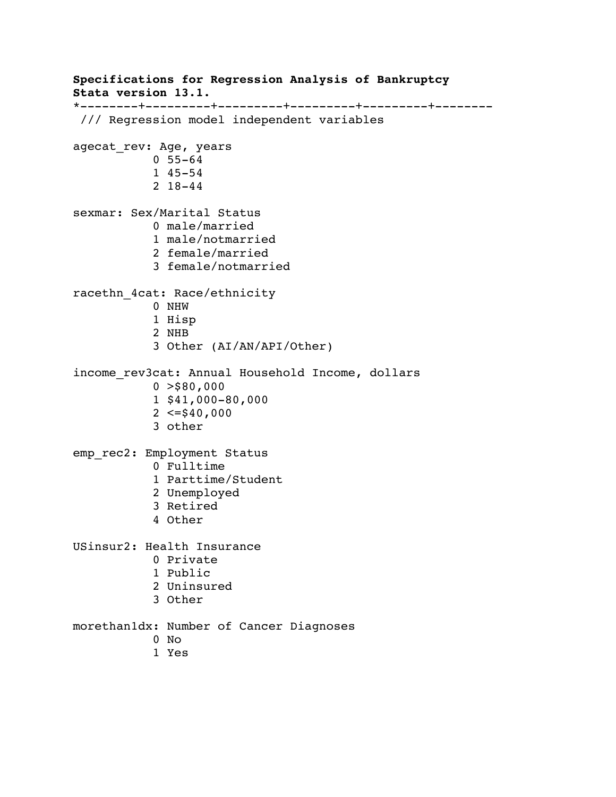**Specifications for Regression Analysis of Bankruptcy Stata version 13.1.** \*--------+---------+---------+---------+---------+-------- /// Regression model independent variables agecat\_rev: Age, years 0 55-64 1 45-54 2 18-44 sexmar: Sex/Marital Status 0 male/married 1 male/notmarried 2 female/married 3 female/notmarried racethn\_4cat: Race/ethnicity 0 NHW 1 Hisp 2 NHB 3 Other (AI/AN/API/Other) income rev3cat: Annual Household Income, dollars  $0 > $80,000$  1 \$41,000-80,000  $2 \leq 540,000$  3 other emp\_rec2: Employment Status 0 Fulltime 1 Parttime/Student 2 Unemployed 3 Retired 4 Other USinsur2: Health Insurance 0 Private 1 Public 2 Uninsured 3 Other morethan1dx: Number of Cancer Diagnoses 0 No 1 Yes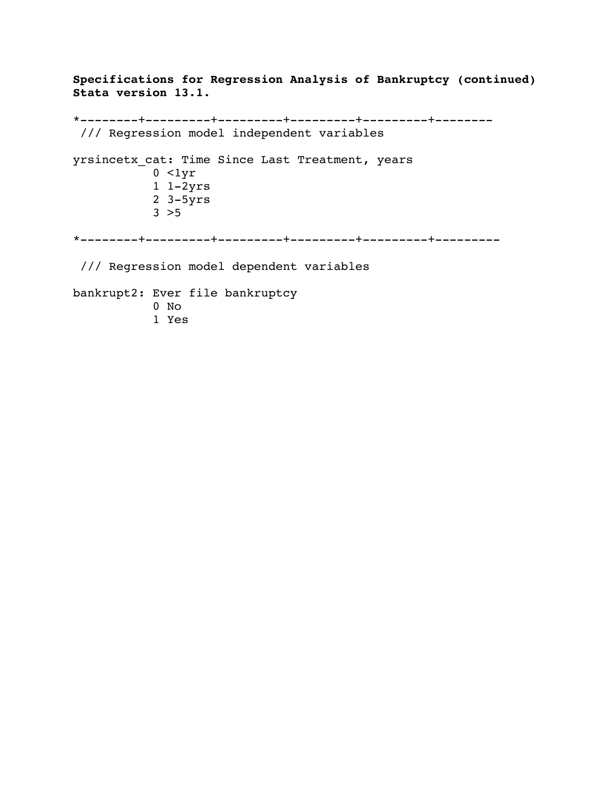**Specifications for Regression Analysis of Bankruptcy (continued) Stata version 13.1.**

\*--------+---------+---------+---------+---------+-------- /// Regression model independent variables yrsincetx\_cat: Time Since Last Treatment, years  $0 < 1yr$  1 1-2yrs 2 3-5yrs  $3 > 5$ \*--------+---------+---------+---------+---------+--------- /// Regression model dependent variables bankrupt2: Ever file bankruptcy 0 No 1 Yes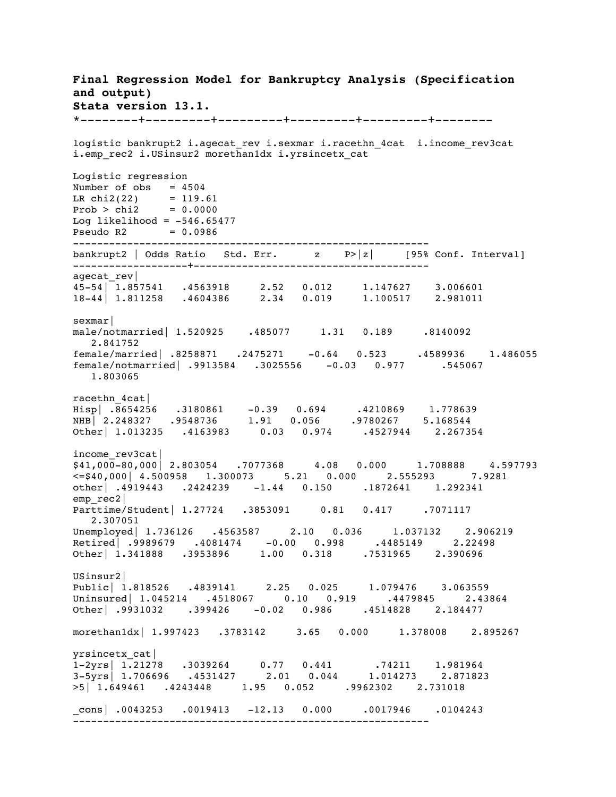**Final Regression Model for Bankruptcy Analysis (Specification and output) Stata version 13.1.** \*--------+---------+---------+---------+---------+------- logistic bankrupt2 i.agecat\_rev i.sexmar i.racethn\_4cat i.income\_rev3cat i.emp rec2 i.USinsur2 morethan1dx i.yrsincetx cat Logistic regression Number of  $obs$  =  $4504$ LR  $chi2(22)$  = 119.61  $Prob > chi2 = 0.0000$ Log likelihood =  $-546.65477$ Pseudo R2 = 0.0986 ---------------------------------------------------------- bankrupt2 | Odds Ratio Std. Err. z P>|z| [95% Conf. Interval] -------------------+-------------------------------------- agecat rev| 45-54| 1.857541 .4563918 2.52 0.012 1.147627 3.006601 18-44| 1.811258 .4604386 2.34 0.019 1.100517 2.981011 sexmar| male/notmarried| 1.520925 .485077 1.31 0.189 .8140092 2.841752 female/married| .8258871 .2475271 -0.64 0.523 .4589936 1.486055 female/notmarried| .9913584 .3025556 -0.03 0.977 .545067 1.803065 racethn\_4cat| Hisp| .8654256 .3180861 -0.39 0.694 .4210869 1.778639 NHB| 2.248327 .9548736 1.91 0.056 .9780267 5.168544 Other| 1.013235 .4163983 0.03 0.974 .4527944 2.267354 income\_rev3cat|  $\begin{array}{cccc} 2.1 & 0 & 0 & 0 & 0 \\ 0 & 4 & 1 & 0 & 0 & 0 \\ 0 & 0 & 0 & 0 & 0 & 0 \end{array}$  2.803054 .7077368 4.08 0.000 1.708888 4.597793  $\leq$   $\leq$   $\leq$   $\leq$   $\leq$   $\leq$   $\leq$   $\leq$   $\leq$   $\leq$   $\leq$   $\leq$   $\leq$   $\leq$   $\leq$   $\leq$   $\leq$   $\leq$   $\leq$   $\leq$   $\leq$   $\leq$   $\leq$   $\leq$   $\leq$   $\leq$   $\leq$   $\leq$   $\leq$   $\leq$   $\leq$   $\leq$   $\leq$   $\leq$   $\leq$   $\leq$   $\leq$ other| .4919443 .2424239 -1.44 0.150 .1872641 1.292341 emp\_rec2| Parttime/Student| 1.27724 .3853091 0.81 0.417 .7071117 2.307051 Unemployed 1.736126 .4563587 2.10 0.036 1.037132 2.906219 Retired| .9989679 .4081474 -0.00 0.998 .4485149 2.22498 Other| 1.341888 .3953896 1.00 0.318 .7531965 2.390696 USinsur2| Public| 1.818526 .4839141 2.25 0.025 1.079476 3.063559 Uninsured| 1.045214 .4518067 0.10 0.919 .4479845 2.43864 Other| .9931032 .399426 -0.02 0.986 .4514828 2.184477 morethan1dx| 1.997423 .3783142 3.65 0.000 1.378008 2.895267 yrsincetx\_cat| 1-2yrs| 1.21278 .3039264 0.77 0.441 .74211 1.981964 3-5yrs| 1.706696 .4531427 2.01 0.044 1.014273 2.871823 >5| 1.649461 .4243448 1.95 0.052 .9962302 2.731018 \_cons| .0043253 .0019413 -12.13 0.000 .0017946 .0104243 -----------------------------------------------------------